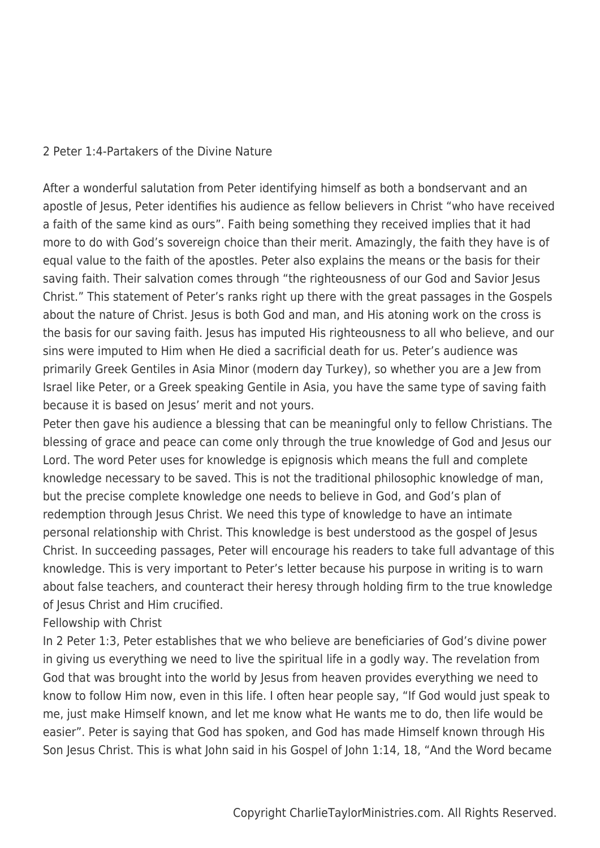### 2 Peter 1:4-Partakers of the Divine Nature

After a wonderful salutation from Peter identifying himself as both a bondservant and an apostle of Jesus, Peter identifies his audience as fellow believers in Christ "who have received a faith of the same kind as ours". Faith being something they received implies that it had more to do with God's sovereign choice than their merit. Amazingly, the faith they have is of equal value to the faith of the apostles. Peter also explains the means or the basis for their saving faith. Their salvation comes through "the righteousness of our God and Savior Jesus Christ." This statement of Peter's ranks right up there with the great passages in the Gospels about the nature of Christ. Jesus is both God and man, and His atoning work on the cross is the basis for our saving faith. Jesus has imputed His righteousness to all who believe, and our sins were imputed to Him when He died a sacrificial death for us. Peter's audience was primarily Greek Gentiles in Asia Minor (modern day Turkey), so whether you are a Jew from Israel like Peter, or a Greek speaking Gentile in Asia, you have the same type of saving faith because it is based on Jesus' merit and not yours.

Peter then gave his audience a blessing that can be meaningful only to fellow Christians. The blessing of grace and peace can come only through the true knowledge of God and Jesus our Lord. The word Peter uses for knowledge is epignosis which means the full and complete knowledge necessary to be saved. This is not the traditional philosophic knowledge of man, but the precise complete knowledge one needs to believe in God, and God's plan of redemption through Jesus Christ. We need this type of knowledge to have an intimate personal relationship with Christ. This knowledge is best understood as the gospel of Jesus Christ. In succeeding passages, Peter will encourage his readers to take full advantage of this knowledge. This is very important to Peter's letter because his purpose in writing is to warn about false teachers, and counteract their heresy through holding firm to the true knowledge of Jesus Christ and Him crucified.

### Fellowship with Christ

In 2 Peter 1:3, Peter establishes that we who believe are beneficiaries of God's divine power in giving us everything we need to live the spiritual life in a godly way. The revelation from God that was brought into the world by Jesus from heaven provides everything we need to know to follow Him now, even in this life. I often hear people say, "If God would just speak to me, just make Himself known, and let me know what He wants me to do, then life would be easier". Peter is saying that God has spoken, and God has made Himself known through His Son Jesus Christ. This is what John said in his Gospel of John 1:14, 18, "And the Word became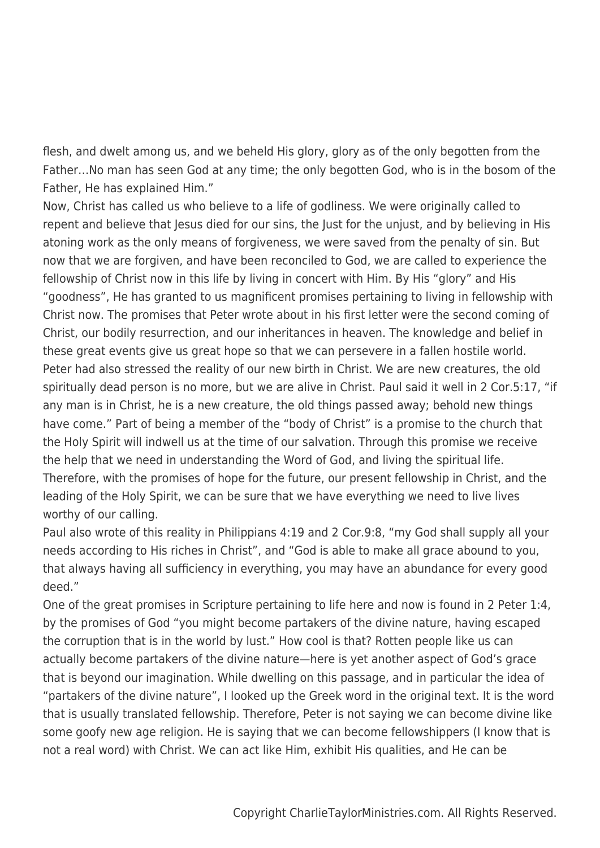flesh, and dwelt among us, and we beheld His glory, glory as of the only begotten from the Father…No man has seen God at any time; the only begotten God, who is in the bosom of the Father, He has explained Him."

Now, Christ has called us who believe to a life of godliness. We were originally called to repent and believe that Jesus died for our sins, the Just for the unjust, and by believing in His atoning work as the only means of forgiveness, we were saved from the penalty of sin. But now that we are forgiven, and have been reconciled to God, we are called to experience the fellowship of Christ now in this life by living in concert with Him. By His "glory" and His "goodness", He has granted to us magnificent promises pertaining to living in fellowship with Christ now. The promises that Peter wrote about in his first letter were the second coming of Christ, our bodily resurrection, and our inheritances in heaven. The knowledge and belief in these great events give us great hope so that we can persevere in a fallen hostile world. Peter had also stressed the reality of our new birth in Christ. We are new creatures, the old spiritually dead person is no more, but we are alive in Christ. Paul said it well in 2 Cor.5:17, "if any man is in Christ, he is a new creature, the old things passed away; behold new things have come." Part of being a member of the "body of Christ" is a promise to the church that the Holy Spirit will indwell us at the time of our salvation. Through this promise we receive the help that we need in understanding the Word of God, and living the spiritual life. Therefore, with the promises of hope for the future, our present fellowship in Christ, and the leading of the Holy Spirit, we can be sure that we have everything we need to live lives worthy of our calling.

Paul also wrote of this reality in Philippians 4:19 and 2 Cor.9:8, "my God shall supply all your needs according to His riches in Christ", and "God is able to make all grace abound to you, that always having all sufficiency in everything, you may have an abundance for every good deed."

One of the great promises in Scripture pertaining to life here and now is found in 2 Peter 1:4, by the promises of God "you might become partakers of the divine nature, having escaped the corruption that is in the world by lust." How cool is that? Rotten people like us can actually become partakers of the divine nature—here is yet another aspect of God's grace that is beyond our imagination. While dwelling on this passage, and in particular the idea of "partakers of the divine nature", I looked up the Greek word in the original text. It is the word that is usually translated fellowship. Therefore, Peter is not saying we can become divine like some goofy new age religion. He is saying that we can become fellowshippers (I know that is not a real word) with Christ. We can act like Him, exhibit His qualities, and He can be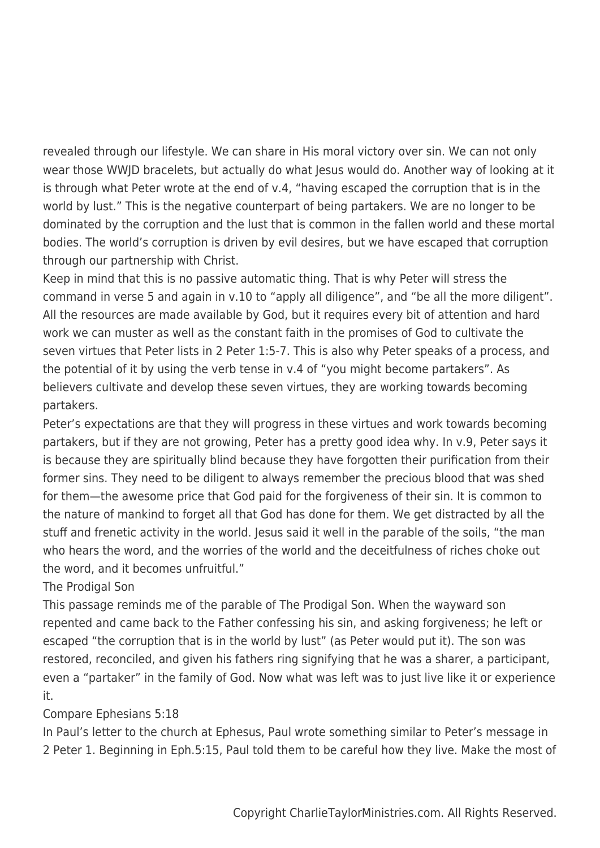revealed through our lifestyle. We can share in His moral victory over sin. We can not only wear those WWJD bracelets, but actually do what Jesus would do. Another way of looking at it is through what Peter wrote at the end of v.4, "having escaped the corruption that is in the world by lust." This is the negative counterpart of being partakers. We are no longer to be dominated by the corruption and the lust that is common in the fallen world and these mortal bodies. The world's corruption is driven by evil desires, but we have escaped that corruption through our partnership with Christ.

Keep in mind that this is no passive automatic thing. That is why Peter will stress the command in verse 5 and again in v.10 to "apply all diligence", and "be all the more diligent". All the resources are made available by God, but it requires every bit of attention and hard work we can muster as well as the constant faith in the promises of God to cultivate the seven virtues that Peter lists in 2 Peter 1:5-7. This is also why Peter speaks of a process, and the potential of it by using the verb tense in v.4 of "you might become partakers". As believers cultivate and develop these seven virtues, they are working towards becoming partakers.

Peter's expectations are that they will progress in these virtues and work towards becoming partakers, but if they are not growing, Peter has a pretty good idea why. In v.9, Peter says it is because they are spiritually blind because they have forgotten their purification from their former sins. They need to be diligent to always remember the precious blood that was shed for them—the awesome price that God paid for the forgiveness of their sin. It is common to the nature of mankind to forget all that God has done for them. We get distracted by all the stuff and frenetic activity in the world. Jesus said it well in the parable of the soils, "the man who hears the word, and the worries of the world and the deceitfulness of riches choke out the word, and it becomes unfruitful."

## The Prodigal Son

This passage reminds me of the parable of The Prodigal Son. When the wayward son repented and came back to the Father confessing his sin, and asking forgiveness; he left or escaped "the corruption that is in the world by lust" (as Peter would put it). The son was restored, reconciled, and given his fathers ring signifying that he was a sharer, a participant, even a "partaker" in the family of God. Now what was left was to just live like it or experience it.

# Compare Ephesians 5:18

In Paul's letter to the church at Ephesus, Paul wrote something similar to Peter's message in 2 Peter 1. Beginning in Eph.5:15, Paul told them to be careful how they live. Make the most of